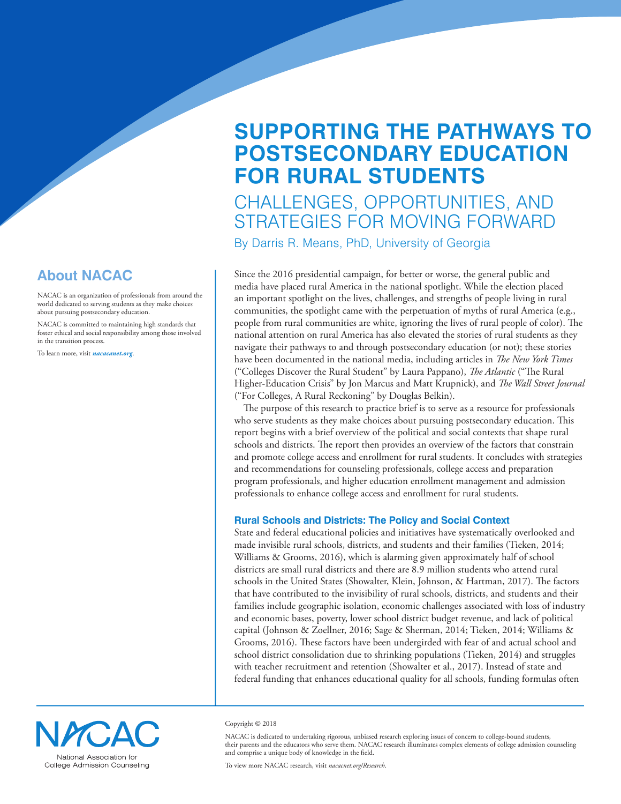# **SUPPORTING THE PATHWAYS TO POSTSECONDARY EDUCATION FOR RURAL STUDENTS**

## CHALLENGES, OPPORTUNITIES, AND STRATEGIES FOR MOVING FORWARD

By Darris R. Means, PhD, University of Georgia

Since the 2016 presidential campaign, for better or worse, the general public and media have placed rural America in the national spotlight. While the election placed an important spotlight on the lives, challenges, and strengths of people living in rural communities, the spotlight came with the perpetuation of myths of rural America (e.g., people from rural communities are white, ignoring the lives of rural people of color). The national attention on rural America has also elevated the stories of rural students as they navigate their pathways to and through postsecondary education (or not); these stories have been documented in the national media, including articles in *The New York Times* ("Colleges Discover the Rural Student" by Laura Pappano), *The Atlantic* ("The Rural Higher-Education Crisis" by Jon Marcus and Matt Krupnick), and *The Wall Street Journal* ("For Colleges, A Rural Reckoning" by Douglas Belkin).

The purpose of this research to practice brief is to serve as a resource for professionals who serve students as they make choices about pursuing postsecondary education. This report begins with a brief overview of the political and social contexts that shape rural schools and districts. The report then provides an overview of the factors that constrain and promote college access and enrollment for rural students. It concludes with strategies and recommendations for counseling professionals, college access and preparation program professionals, and higher education enrollment management and admission professionals to enhance college access and enrollment for rural students.

### **Rural Schools and Districts: The Policy and Social Context**

State and federal educational policies and initiatives have systematically overlooked and made invisible rural schools, districts, and students and their families (Tieken, 2014; Williams & Grooms, 2016), which is alarming given approximately half of school districts are small rural districts and there are 8.9 million students who attend rural schools in the United States (Showalter, Klein, Johnson, & Hartman, 2017). The factors that have contributed to the invisibility of rural schools, districts, and students and their families include geographic isolation, economic challenges associated with loss of industry and economic bases, poverty, lower school district budget revenue, and lack of political capital (Johnson & Zoellner, 2016; Sage & Sherman, 2014; Tieken, 2014; Williams & Grooms, 2016). These factors have been undergirded with fear of and actual school and school district consolidation due to shrinking populations (Tieken, 2014) and struggles with teacher recruitment and retention (Showalter et al., 2017). Instead of state and federal funding that enhances educational quality for all schools, funding formulas often



NACAC is dedicated to undertaking rigorous, unbiased research exploring issues of concern to college-bound students, their parents and the educators who serve them. NACAC research illuminates complex elements of college admission counseling and comprise a unique body of knowledge in the field.

**About NACAC**

NACAC is an organization of professionals from around the world dedicated to serving students as they make choices about pursuing postsecondary education.

NACAC is committed to maintaining high standards that foster ethical and social responsibility among those involved in the transition process.

To learn more, visit *nacacanet.org*.



To view more NACAC research, visit *nacacnet.org/Research*.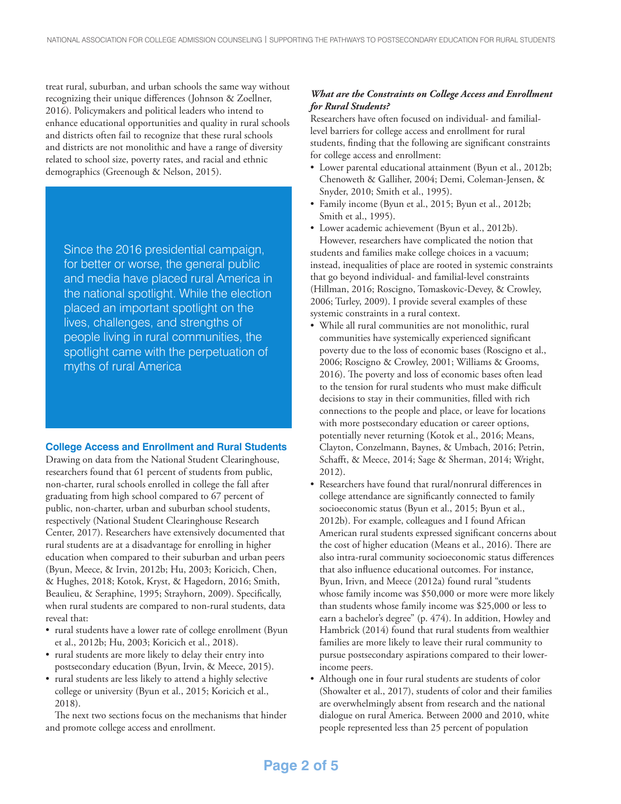treat rural, suburban, and urban schools the same way without recognizing their unique differences (Johnson & Zoellner, 2016). Policymakers and political leaders who intend to enhance educational opportunities and quality in rural schools and districts often fail to recognize that these rural schools and districts are not monolithic and have a range of diversity related to school size, poverty rates, and racial and ethnic demographics (Greenough & Nelson, 2015).

Since the 2016 presidential campaign, for better or worse, the general public and media have placed rural America in the national spotlight. While the election placed an important spotlight on the lives, challenges, and strengths of people living in rural communities, the spotlight came with the perpetuation of myths of rural America

#### **College Access and Enrollment and Rural Students**

Drawing on data from the National Student Clearinghouse, researchers found that 61 percent of students from public, non-charter, rural schools enrolled in college the fall after graduating from high school compared to 67 percent of public, non-charter, urban and suburban school students, respectively (National Student Clearinghouse Research Center, 2017). Researchers have extensively documented that rural students are at a disadvantage for enrolling in higher education when compared to their suburban and urban peers (Byun, Meece, & Irvin, 2012b; Hu, 2003; Koricich, Chen, & Hughes, 2018; Kotok, Kryst, & Hagedorn, 2016; Smith, Beaulieu, & Seraphine, 1995; Strayhorn, 2009). Specifically, when rural students are compared to non-rural students, data reveal that:

- rural students have a lower rate of college enrollment (Byun et al., 2012b; Hu, 2003; Koricich et al., 2018).
- rural students are more likely to delay their entry into postsecondary education (Byun, Irvin, & Meece, 2015).
- rural students are less likely to attend a highly selective college or university (Byun et al., 2015; Koricich et al., 2018).

The next two sections focus on the mechanisms that hinder and promote college access and enrollment.

### *What are the Constraints on College Access and Enrollment for Rural Students?*

Researchers have often focused on individual- and familiallevel barriers for college access and enrollment for rural students, finding that the following are significant constraints for college access and enrollment:

- Lower parental educational attainment (Byun et al., 2012b; Chenoweth & Galliher, 2004; Demi, Coleman-Jensen, & Snyder, 2010; Smith et al., 1995).
- Family income (Byun et al., 2015; Byun et al., 2012b; Smith et al., 1995).
- Lower academic achievement (Byun et al., 2012b).

However, researchers have complicated the notion that students and families make college choices in a vacuum; instead, inequalities of place are rooted in systemic constraints that go beyond individual- and familial-level constraints (Hillman, 2016; Roscigno, Tomaskovic-Devey, & Crowley, 2006; Turley, 2009). I provide several examples of these systemic constraints in a rural context.

- While all rural communities are not monolithic, rural communities have systemically experienced significant poverty due to the loss of economic bases (Roscigno et al., 2006; Roscigno & Crowley, 2001; Williams & Grooms, 2016). The poverty and loss of economic bases often lead to the tension for rural students who must make difficult decisions to stay in their communities, filled with rich connections to the people and place, or leave for locations with more postsecondary education or career options, potentially never returning (Kotok et al., 2016; Means, Clayton, Conzelmann, Baynes, & Umbach, 2016; Petrin, Schafft, & Meece, 2014; Sage & Sherman, 2014; Wright, 2012).
- Researchers have found that rural/nonrural differences in college attendance are significantly connected to family socioeconomic status (Byun et al., 2015; Byun et al., 2012b). For example, colleagues and I found African American rural students expressed significant concerns about the cost of higher education (Means et al., 2016). There are also intra-rural community socioeconomic status differences that also influence educational outcomes. For instance, Byun, Irivn, and Meece (2012a) found rural "students whose family income was \$50,000 or more were more likely than students whose family income was \$25,000 or less to earn a bachelor's degree" (p. 474). In addition, Howley and Hambrick (2014) found that rural students from wealthier families are more likely to leave their rural community to pursue postsecondary aspirations compared to their lowerincome peers.
- Although one in four rural students are students of color (Showalter et al., 2017), students of color and their families are overwhelmingly absent from research and the national dialogue on rural America. Between 2000 and 2010, white people represented less than 25 percent of population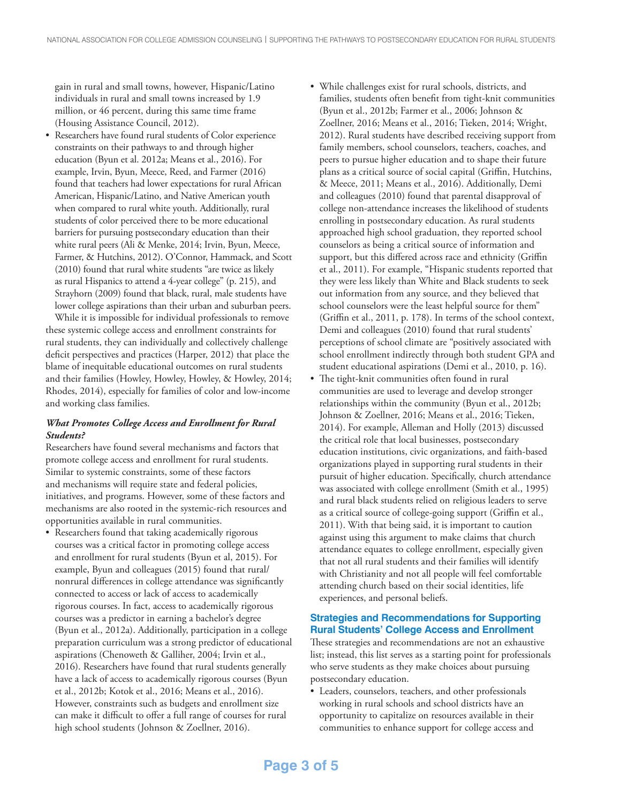gain in rural and small towns, however, Hispanic/Latino individuals in rural and small towns increased by 1.9 million, or 46 percent, during this same time frame (Housing Assistance Council, 2012).

• Researchers have found rural students of Color experience constraints on their pathways to and through higher education (Byun et al. 2012a; Means et al., 2016). For example, Irvin, Byun, Meece, Reed, and Farmer (2016) found that teachers had lower expectations for rural African American, Hispanic/Latino, and Native American youth when compared to rural white youth. Additionally, rural students of color perceived there to be more educational barriers for pursuing postsecondary education than their white rural peers (Ali & Menke, 2014; Irvin, Byun, Meece, Farmer, & Hutchins, 2012). O'Connor, Hammack, and Scott (2010) found that rural white students "are twice as likely as rural Hispanics to attend a 4-year college" (p. 215), and Strayhorn (2009) found that black, rural, male students have lower college aspirations than their urban and suburban peers.

While it is impossible for individual professionals to remove these systemic college access and enrollment constraints for rural students, they can individually and collectively challenge deficit perspectives and practices (Harper, 2012) that place the blame of inequitable educational outcomes on rural students and their families (Howley, Howley, Howley, & Howley, 2014; Rhodes, 2014), especially for families of color and low-income and working class families.

#### *What Promotes College Access and Enrollment for Rural Students?*

Researchers have found several mechanisms and factors that promote college access and enrollment for rural students. Similar to systemic constraints, some of these factors and mechanisms will require state and federal policies, initiatives, and programs. However, some of these factors and mechanisms are also rooted in the systemic-rich resources and opportunities available in rural communities.

• Researchers found that taking academically rigorous courses was a critical factor in promoting college access and enrollment for rural students (Byun et al, 2015). For example, Byun and colleagues (2015) found that rural/ nonrural differences in college attendance was significantly connected to access or lack of access to academically rigorous courses. In fact, access to academically rigorous courses was a predictor in earning a bachelor's degree (Byun et al., 2012a). Additionally, participation in a college preparation curriculum was a strong predictor of educational aspirations (Chenoweth & Galliher, 2004; Irvin et al., 2016). Researchers have found that rural students generally have a lack of access to academically rigorous courses (Byun et al., 2012b; Kotok et al., 2016; Means et al., 2016). However, constraints such as budgets and enrollment size can make it difficult to offer a full range of courses for rural high school students (Johnson & Zoellner, 2016).

- While challenges exist for rural schools, districts, and families, students often benefit from tight-knit communities (Byun et al., 2012b; Farmer et al., 2006; Johnson & Zoellner, 2016; Means et al., 2016; Tieken, 2014; Wright, 2012). Rural students have described receiving support from family members, school counselors, teachers, coaches, and peers to pursue higher education and to shape their future plans as a critical source of social capital (Griffin, Hutchins, & Meece, 2011; Means et al., 2016). Additionally, Demi and colleagues (2010) found that parental disapproval of college non-attendance increases the likelihood of students enrolling in postsecondary education. As rural students approached high school graduation, they reported school counselors as being a critical source of information and support, but this differed across race and ethnicity (Griffin et al., 2011). For example, "Hispanic students reported that they were less likely than White and Black students to seek out information from any source, and they believed that school counselors were the least helpful source for them" (Griffin et al., 2011, p. 178). In terms of the school context, Demi and colleagues (2010) found that rural students' perceptions of school climate are "positively associated with school enrollment indirectly through both student GPA and student educational aspirations (Demi et al., 2010, p. 16).
- The tight-knit communities often found in rural communities are used to leverage and develop stronger relationships within the community (Byun et al., 2012b; Johnson & Zoellner, 2016; Means et al., 2016; Tieken, 2014). For example, Alleman and Holly (2013) discussed the critical role that local businesses, postsecondary education institutions, civic organizations, and faith-based organizations played in supporting rural students in their pursuit of higher education. Specifically, church attendance was associated with college enrollment (Smith et al., 1995) and rural black students relied on religious leaders to serve as a critical source of college-going support (Griffin et al., 2011). With that being said, it is important to caution against using this argument to make claims that church attendance equates to college enrollment, especially given that not all rural students and their families will identify with Christianity and not all people will feel comfortable attending church based on their social identities, life experiences, and personal beliefs.

### **Strategies and Recommendations for Supporting Rural Students' College Access and Enrollment**

These strategies and recommendations are not an exhaustive list; instead, this list serves as a starting point for professionals who serve students as they make choices about pursuing postsecondary education.

• Leaders, counselors, teachers, and other professionals working in rural schools and school districts have an opportunity to capitalize on resources available in their communities to enhance support for college access and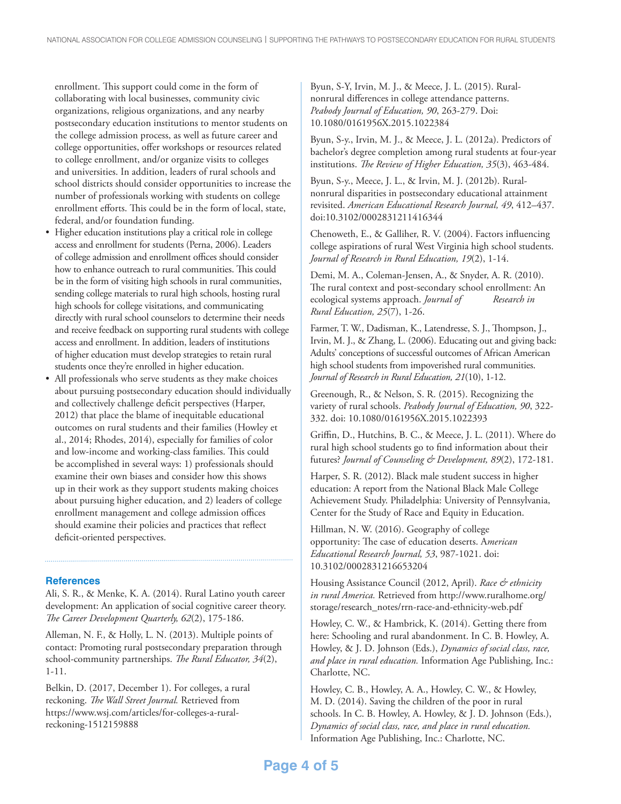enrollment. This support could come in the form of collaborating with local businesses, community civic organizations, religious organizations, and any nearby postsecondary education institutions to mentor students on the college admission process, as well as future career and college opportunities, offer workshops or resources related to college enrollment, and/or organize visits to colleges and universities. In addition, leaders of rural schools and school districts should consider opportunities to increase the number of professionals working with students on college enrollment efforts. This could be in the form of local, state, federal, and/or foundation funding.

- Higher education institutions play a critical role in college access and enrollment for students (Perna, 2006). Leaders of college admission and enrollment offices should consider how to enhance outreach to rural communities. This could be in the form of visiting high schools in rural communities, sending college materials to rural high schools, hosting rural high schools for college visitations, and communicating directly with rural school counselors to determine their needs and receive feedback on supporting rural students with college access and enrollment. In addition, leaders of institutions of higher education must develop strategies to retain rural students once they're enrolled in higher education.
- All professionals who serve students as they make choices about pursuing postsecondary education should individually and collectively challenge deficit perspectives (Harper, 2012) that place the blame of inequitable educational outcomes on rural students and their families (Howley et al., 2014; Rhodes, 2014), especially for families of color and low-income and working-class families. This could be accomplished in several ways: 1) professionals should examine their own biases and consider how this shows up in their work as they support students making choices about pursuing higher education, and 2) leaders of college enrollment management and college admission offices should examine their policies and practices that reflect deficit-oriented perspectives.

#### **References**

Ali, S. R., & Menke, K. A. (2014). Rural Latino youth career development: An application of social cognitive career theory. *The Career Development Quarterly, 62*(2), 175-186.

Alleman, N. F., & Holly, L. N. (2013). Multiple points of contact: Promoting rural postsecondary preparation through school-community partnerships. *The Rural Educator, 34*(2), 1-11.

Belkin, D. (2017, December 1). For colleges, a rural reckoning. *The Wall Street Journal.* Retrieved from https://www.wsj.com/articles/for-colleges-a-ruralreckoning-1512159888

Byun, S-Y, Irvin, M. J., & Meece, J. L. (2015). Ruralnonrural differences in college attendance patterns. *Peabody Journal of Education, 90*, 263-279. Doi: 10.1080/0161956X.2015.1022384

Byun, S-y., Irvin, M. J., & Meece, J. L. (2012a). Predictors of bachelor's degree completion among rural students at four-year institutions. *The Review of Higher Education, 35*(3), 463-484.

Byun, S-y., Meece, J. L., & Irvin, M. J. (2012b). Ruralnonrural disparities in postsecondary educational attainment revisited. *American Educational Research Journal, 49*, 412–437. doi:10.3102/0002831211416344

Chenoweth, E., & Galliher, R. V. (2004). Factors influencing college aspirations of rural West Virginia high school students. *Journal of Research in Rural Education, 19*(2), 1-14.

Demi, M. A., Coleman-Jensen, A., & Snyder, A. R. (2010). The rural context and post-secondary school enrollment: An ecological systems approach. *Journal of* Research in *Rural Education, 25*(7), 1-26.

Farmer, T. W., Dadisman, K., Latendresse, S. J., Thompson, J., Irvin, M. J., & Zhang, L. (2006). Educating out and giving back: Adults' conceptions of successful outcomes of African American high school students from impoverished rural communities. *Journal of Research in Rural Education, 21*(10), 1-12.

Greenough, R., & Nelson, S. R. (2015). Recognizing the variety of rural schools. *Peabody Journal of Education, 90*, 322- 332. doi: 10.1080/0161956X.2015.1022393

Griffin, D., Hutchins, B. C., & Meece, J. L. (2011). Where do rural high school students go to find information about their futures? *Journal of Counseling & Development, 89*(2), 172-181.

Harper, S. R. (2012). Black male student success in higher education: A report from the National Black Male College Achievement Study. Philadelphia: University of Pennsylvania, Center for the Study of Race and Equity in Education.

Hillman, N. W. (2016). Geography of college opportunity: The case of education deserts. A*merican Educational Research Journal, 53*, 987-1021. doi: 10.3102/0002831216653204

Housing Assistance Council (2012, April). *Race & ethnicity in rural America.* Retrieved from http://www.ruralhome.org/ storage/research\_notes/rrn-race-and-ethnicity-web.pdf

Howley, C. W., & Hambrick, K. (2014). Getting there from here: Schooling and rural abandonment. In C. B. Howley, A. Howley, & J. D. Johnson (Eds.), *Dynamics of social class, race, and place in rural education.* Information Age Publishing, Inc.: Charlotte, NC.

Howley, C. B., Howley, A. A., Howley, C. W., & Howley, M. D. (2014). Saving the children of the poor in rural schools. In C. B. Howley, A. Howley, & J. D. Johnson (Eds.), *Dynamics of social class, race, and place in rural education.* Information Age Publishing, Inc.: Charlotte, NC.